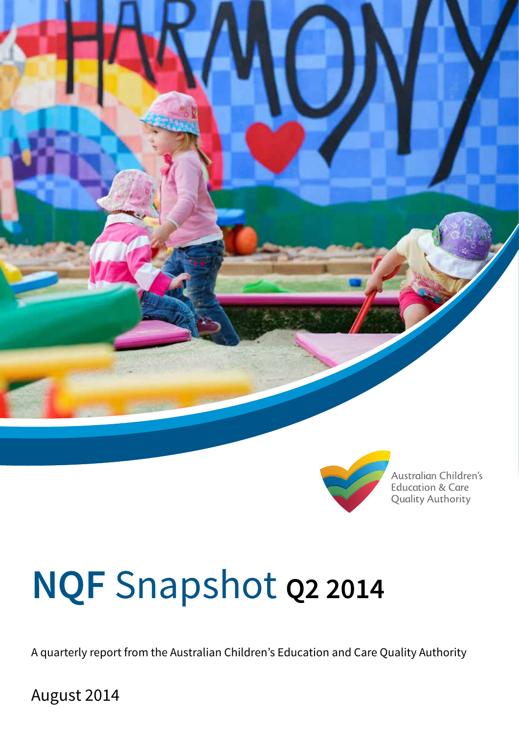

![](_page_0_Picture_1.jpeg)

Australian Children's **Education & Care Quality Authority** 

# **NQF** Snapshot **Q2 2014**

A quarterly report from the Australian Children's Education and Care Quality Authority

August 2014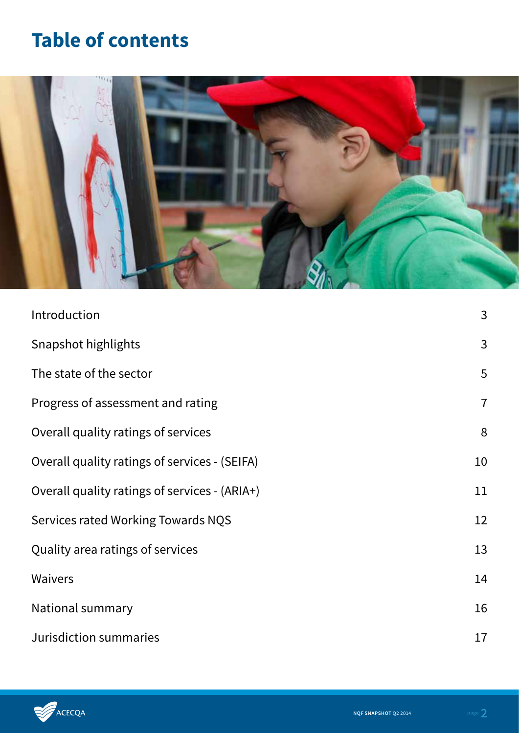# **Table of contents**

![](_page_1_Picture_1.jpeg)

| Introduction                                  | 3              |
|-----------------------------------------------|----------------|
| Snapshot highlights                           | 3              |
| The state of the sector                       | 5              |
| Progress of assessment and rating             | $\overline{7}$ |
| Overall quality ratings of services           | 8              |
| Overall quality ratings of services - (SEIFA) | 10             |
| Overall quality ratings of services - (ARIA+) | 11             |
| Services rated Working Towards NQS            | 12             |
| Quality area ratings of services              | 13             |
| <b>Waivers</b>                                | 14             |
| National summary                              | 16             |
| Jurisdiction summaries                        | 17             |

![](_page_1_Picture_3.jpeg)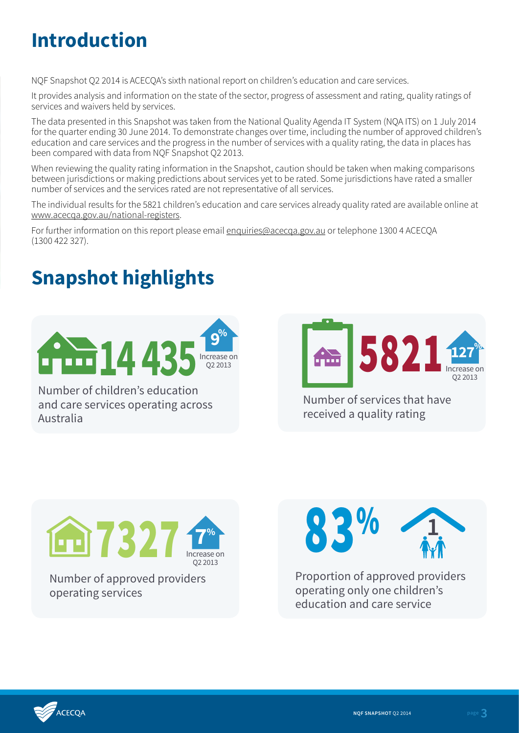# **Introduction**

NQF Snapshot Q2 2014 is ACECQA's sixth national report on children's education and care services.

It provides analysis and information on the state of the sector, progress of assessment and rating, quality ratings of services and waivers held by services.

The data presented in this Snapshot was taken from the National Quality Agenda IT System (NQA ITS) on 1 July 2014 for the quarter ending 30 June 2014. To demonstrate changes over time, including the number of approved children's education and care services and the progress in the number of services with a quality rating, the data in places has been compared with data from NQF Snapshot Q2 2013.

When reviewing the quality rating information in the Snapshot, caution should be taken when making comparisons between jurisdictions or making predictions about services yet to be rated. Some jurisdictions have rated a smaller number of services and the services rated are not representative of all services.

The individual results for the 5821 children's education and care services already quality rated are available online at www.acecqa.gov.au/national-registers.

For further information on this report please email enquiries@acecqa.gov.au or telephone 1300 4 ACECQA (1300 422 327).

# **Snapshot highlights**

![](_page_2_Picture_8.jpeg)

Number of children's education and care services operating across Australia

![](_page_2_Picture_10.jpeg)

Number of services that have received a quality rating

![](_page_2_Picture_12.jpeg)

Number of approved providers operating services

![](_page_2_Picture_14.jpeg)

Proportion of approved providers operating only one children's education and care service

![](_page_2_Picture_16.jpeg)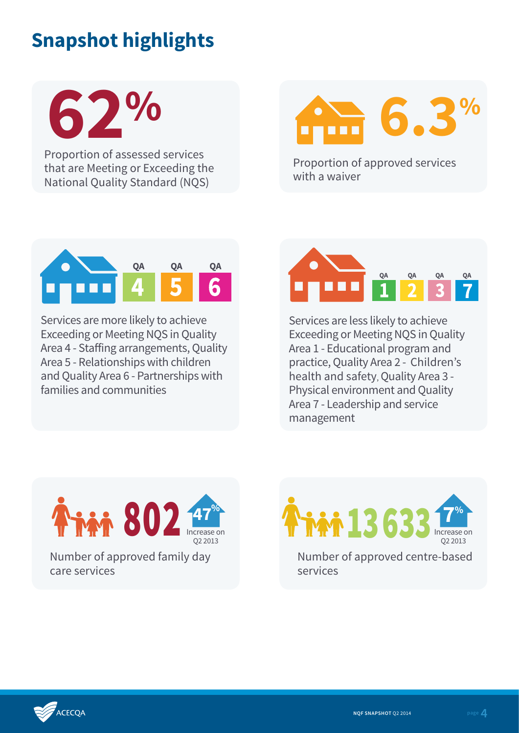# **Snapshot highlights**

**62%**

Proportion of assessed services that are Meeting or Exceeding the National Quality Standard (NQS)

![](_page_3_Picture_3.jpeg)

Proportion of approved services with a waiver

![](_page_3_Picture_5.jpeg)

Services are more likely to achieve Exceeding or Meeting NQS in Quality Area 4 - Staffing arrangements, Quality Area 5 - Relationships with children and Quality Area 6 - Partnerships with families and communities

![](_page_3_Picture_7.jpeg)

Services are less likely to achieve Exceeding or Meeting NQS in Quality Area 1 - Educational program and practice, Quality Area 2 - Children's health and safety, Quality Area 3 - Physical environment and Quality Area 7 - Leadership and service management

![](_page_3_Picture_9.jpeg)

Number of approved centre-based  $13633$  Increase on Q2 2013 **7%**

services

,<br>ACECOA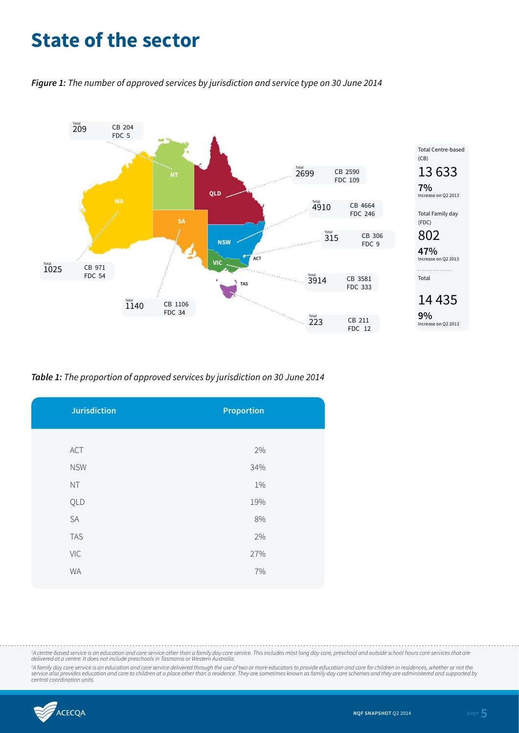### **State of the sector**

*Figure 1: The number of approved services by jurisdiction and service type on 30 June 2014*

![](_page_4_Figure_2.jpeg)

*Table 1: The proportion of approved services by jurisdiction on 30 June 2014*

| <b>Jurisdiction</b> | <b>Proportion</b> |
|---------------------|-------------------|
|                     |                   |
| ACT                 | 2%                |
| <b>NSW</b>          | 34%               |
| NT                  | 1%                |
| QLD                 | 19%               |
| SA                  | $8\%$             |
| <b>TAS</b>          | 2%                |
| VIC                 | 27%               |
| <b>WA</b>           | 7%                |
|                     |                   |

<sup>1</sup>A centre-based service is an education and care service other than a family day care service. This includes most long day care, preschool and outside school hours care services that are *delivered at a centre. It does not include preschools in Tasmania or Western Australia.*

<sup>2</sup>A family day care service is an education and care service delivered through the use of two or more educators to provide education and care for children in residences, whether or not the<br>service also provides education

![](_page_4_Picture_7.jpeg)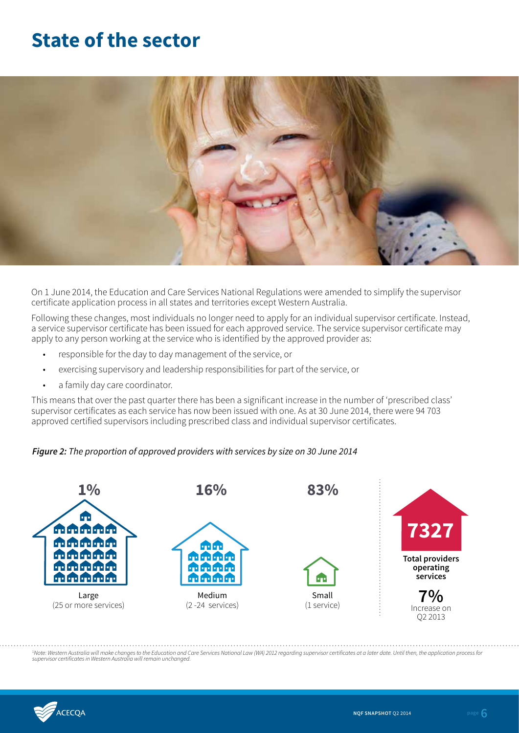### **State of the sector**

![](_page_5_Picture_1.jpeg)

On 1 June 2014, the Education and Care Services National Regulations were amended to simplify the supervisor certificate application process in all states and territories except Western Australia.

Following these changes, most individuals no longer need to apply for an individual supervisor certificate. Instead, a service supervisor certificate has been issued for each approved service. The service supervisor certificate may apply to any person working at the service who is identified by the approved provider as:

- responsible for the day to day management of the service, or
- exercising supervisory and leadership responsibilities for part of the service, or
- a family day care coordinator.

This means that over the past quarter there has been a significant increase in the number of 'prescribed class' supervisor certificates as each service has now been issued with one. As at 30 June 2014, there were 94 703 approved certified supervisors including prescribed class and individual supervisor certificates.

#### *Figure 2: The proportion of approved providers with services by size on 30 June 2014*

![](_page_5_Figure_9.jpeg)

<sup>1</sup>Note: Western Australia will make changes to the Education and Care Services National Law (WA) 2012 regarding supervisor certificates at a later date. Until then, the application process for<br>supervisor certificates in

![](_page_5_Picture_11.jpeg)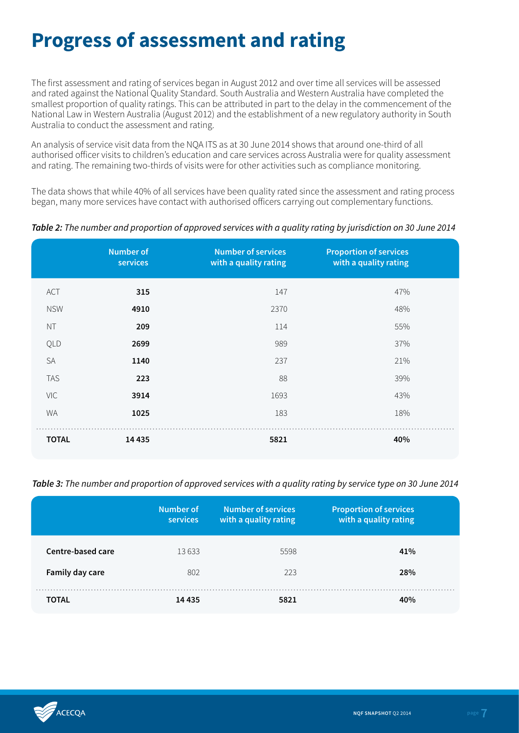### **Progress of assessment and rating**

The first assessment and rating of services began in August 2012 and over time all services will be assessed and rated against the National Quality Standard. South Australia and Western Australia have completed the smallest proportion of quality ratings. This can be attributed in part to the delay in the commencement of the National Law in Western Australia (August 2012) and the establishment of a new regulatory authority in South Australia to conduct the assessment and rating.

An analysis of service visit data from the NQA ITS as at 30 June 2014 shows that around one-third of all authorised officer visits to children's education and care services across Australia were for quality assessment and rating. The remaining two-thirds of visits were for other activities such as compliance monitoring.

The data shows that while 40% of all services have been quality rated since the assessment and rating process began, many more services have contact with authorised officers carrying out complementary functions.

*Table 2: The number and proportion of approved services with a quality rating by jurisdiction on 30 June 2014*

|              | <b>Number of</b><br>services | <b>Number of services</b><br>with a quality rating | <b>Proportion of services</b><br>with a quality rating |
|--------------|------------------------------|----------------------------------------------------|--------------------------------------------------------|
| ACT          | 315                          | 147                                                | 47%                                                    |
| <b>NSW</b>   | 4910                         | 2370                                               | 48%                                                    |
| <b>NT</b>    | 209                          | 114                                                | 55%                                                    |
| QLD          | 2699                         | 989                                                | 37%                                                    |
| <b>SA</b>    | 1140                         | 237                                                | 21%                                                    |
| <b>TAS</b>   | 223                          | 88                                                 | 39%                                                    |
| <b>VIC</b>   | 3914                         | 1693                                               | 43%                                                    |
| <b>WA</b>    | 1025                         | 183                                                | 18%                                                    |
| <b>TOTAL</b> | 14 4 35                      | 5821                                               | 40%                                                    |

*Table 3: The number and proportion of approved services with a quality rating by service type on 30 June 2014*

|                   | Number of<br><b>services</b> | <b>Number of services</b><br>with a quality rating | <b>Proportion of services</b><br>with a quality rating |
|-------------------|------------------------------|----------------------------------------------------|--------------------------------------------------------|
| Centre-based care | 13633                        | 5598                                               | 41%                                                    |
| Family day care   | 802                          | 223                                                | 28%                                                    |
| <b>TOTAL</b>      | 14 4 3 5                     | 5821                                               | 40%                                                    |

![](_page_6_Picture_8.jpeg)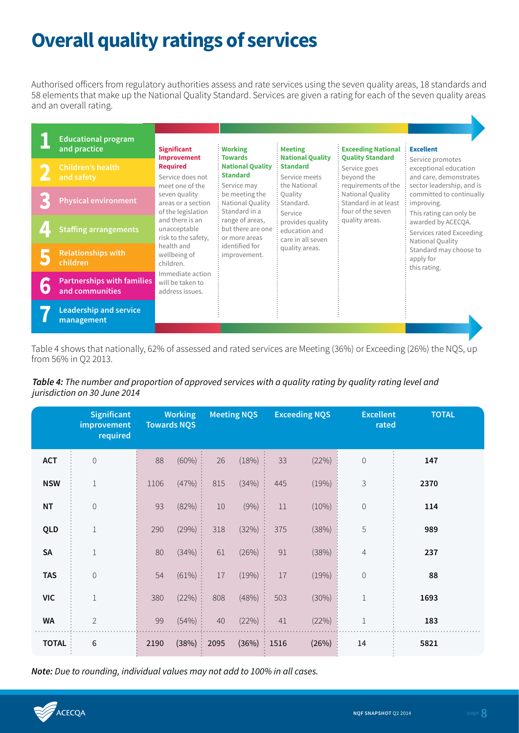# **Overall quality ratings of services**

Authorised officers from regulatory authorities assess and rate services using the seven quality areas, 18 standards and 58 elements that make up the National Quality Standard. Services are given a rating for each of the seven quality areas and an overall rating.

| <b>Educational program</b><br>and practice           | <b>Significant</b>                                                                                                                     | <b>Working</b><br><b>Towards</b>                        | <b>Meeting</b>                                                    | <b>Exceeding National</b>                                                   | <b>Excellent</b>                                                                              |                                                                                                  |                                                               |                                        |
|------------------------------------------------------|----------------------------------------------------------------------------------------------------------------------------------------|---------------------------------------------------------|-------------------------------------------------------------------|-----------------------------------------------------------------------------|-----------------------------------------------------------------------------------------------|--------------------------------------------------------------------------------------------------|---------------------------------------------------------------|----------------------------------------|
| <b>Children's health</b><br>and safety               | <b>Improvement</b><br><b>Required</b><br>Service does not                                                                              |                                                         | <b>National Quality</b><br><b>Standard</b><br>Service may         | <b>National Quality</b><br><b>Standard</b><br>Service meets<br>the National | <b>Quality Standard</b><br>Service goes<br>beyond the<br>requirements of the                  | Service promotes<br>exceptional education<br>and care, demonstrates<br>sector leadership, and is |                                                               |                                        |
| <b>Physical environment</b>                          | meet one of the<br>seven quality<br>areas or a section<br>of the legislation<br>and there is an<br>unacceptable<br>risk to the safety. |                                                         |                                                                   |                                                                             | be meeting the<br>National Quality<br>Standard in a                                           | Ouality<br>Standard.                                                                             | National Quality<br>Standard in at least<br>four of the seven | committed to continually<br>improving. |
| <b>Staffing arrangements</b>                         |                                                                                                                                        | range of areas,<br>but there are one<br>or more areas   | Service<br>provides quality<br>education and<br>care in all seven | quality areas.                                                              | This rating can only be<br>awarded by ACECQA.<br>Services rated Exceeding<br>National Quality |                                                                                                  |                                                               |                                        |
| <b>Relationships with</b><br>children                | health and<br>wellbeing of<br>children.                                                                                                | identified for<br>improvement.                          | quality areas.                                                    |                                                                             | Standard may choose to<br>apply for<br>this rating.                                           |                                                                                                  |                                                               |                                        |
| <b>Partnerships with families</b><br>and communities |                                                                                                                                        | Immediate action<br>will be taken to<br>address issues. |                                                                   |                                                                             |                                                                                               |                                                                                                  |                                                               |                                        |
| <b>Leadership and service</b><br>management          |                                                                                                                                        |                                                         |                                                                   |                                                                             |                                                                                               |                                                                                                  |                                                               |                                        |

Table 4 shows that nationally, 62% of assessed and rated services are Meeting (36%) or Exceeding (26%) the NQS, up from 56% in Q2 2013.

### *Table 4: The number and proportion of approved services with a quality rating by quality rating level and jurisdiction on 30 June 2014*

|              | <b>Significant</b><br>improvement<br>required |      | <b>Working</b><br><b>Towards NQS</b> |        | <b>Meeting NQS</b> |      | <b>Exceeding NQS</b> | <b>Excellent</b><br>rated | <b>TOTAL</b> |
|--------------|-----------------------------------------------|------|--------------------------------------|--------|--------------------|------|----------------------|---------------------------|--------------|
| <b>ACT</b>   | $\mathbf 0$                                   | 88   | (60%)                                | 26     | (18%)              | 33   | (22%)                | $\mathbf 0$               | 147          |
| <b>NSW</b>   | $\mathbf{1}$                                  | 1106 | (47%)                                | 815    | (34%)              | 445  | (19%)                | 3                         | 2370         |
| <b>NT</b>    | $\mathbf 0$                                   | 93   | (82%)                                | $10\,$ | (9% )              | 11   | (10%)                | $\mathbf 0$               | 114          |
| QLD          | $\!1\!$                                       | 290  | (29%)                                | 318    | (32%)              | 375  | (38%)                | 5                         | 989          |
| <b>SA</b>    | $\!1\!$                                       | 80   | (34%)                                | 61     | (26%)              | 91   | (38%)                | $\overline{4}$            | 237          |
| <b>TAS</b>   | $\mathbf 0$                                   | 54   | (61%)                                | 17     | (19%)              | 17   | (19%)                | $\mathbf 0$               | 88           |
| <b>VIC</b>   | $\!1\!$                                       | 380  | (22%)                                | 808    | (48%)              | 503  | (30%)                | $\,1$                     | 1693         |
| <b>WA</b>    | $\overline{2}$                                | 99   | (54%)                                | 40     | (22%)              | 41   | (22%)                | $1\,$                     | 183          |
| <b>TOTAL</b> | 6                                             | 2190 | (38%)                                | 2095   | (36%)              | 1516 | (26%)                | 14                        | 5821         |

*Note: Due to rounding, individual values may not add to 100% in all cases.*

![](_page_7_Picture_7.jpeg)

K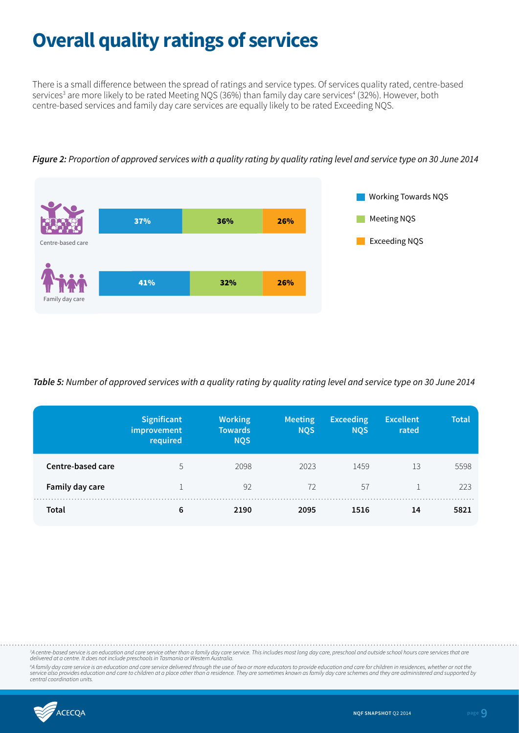### **Overall quality ratings of services**

There is a small difference between the spread of ratings and service types. Of services quality rated, centre-based services<sup>3</sup> are more likely to be rated Meeting NQS (36%) than family day care services<sup>4</sup> (32%). However, both centre-based services and family day care services are equally likely to be rated Exceeding NQS.

![](_page_8_Figure_2.jpeg)

*Figure 2: Proportion of approved services with a quality rating by quality rating level and service type on 30 June 2014*

*Table 5: Number of approved services with a quality rating by quality rating level and service type on 30 June 2014*

|                   | Significant<br>improvement<br>required | <b>Working</b><br><b>Towards</b><br><b>NQS</b> | Meeting<br><b>NQS</b> | <b>Exceeding</b><br><b>NQS</b> | <b>Excellent</b><br>rated | <b>Total</b> |
|-------------------|----------------------------------------|------------------------------------------------|-----------------------|--------------------------------|---------------------------|--------------|
| Centre-based care | 5                                      | 2098                                           | 2023                  | 1459                           | 13                        | 5598         |
| Family day care   |                                        | 92                                             | 72                    | 57                             |                           | 223          |
| Total             | 6                                      | 2190                                           | 2095                  | 1516                           | 14                        | 5821         |

<sup>3</sup>A centre-based service is an education and care service other than a family day care service. This includes most long day care, preschool and outside school hours care services that are *delivered at a centre. It does not include preschools in Tasmania or Western Australia.*

*4 A family day care service is an education and care service delivered through the use of two or more educators to provide education and care for children in residences, whether or not the*  service also provides education and care to children at a place other than a residence. They are sometimes known as family day care schemes and they are administered and supported by<br>central coordination units.

![](_page_8_Picture_8.jpeg)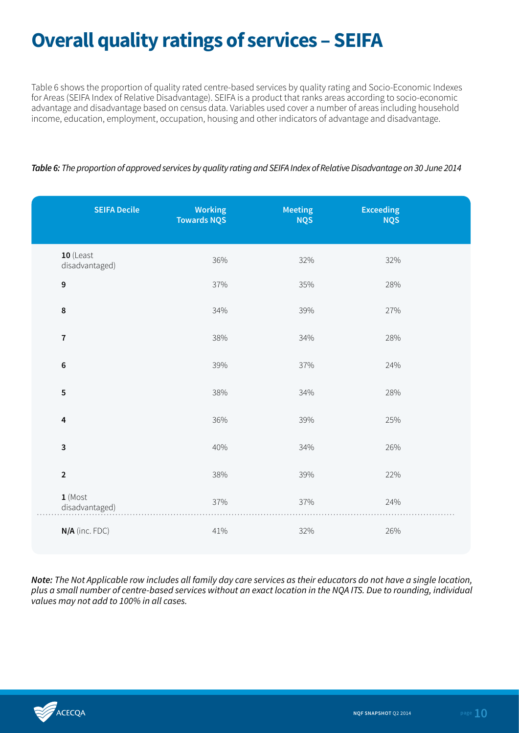# **Overall quality ratings of services – SEIFA**

Table 6 shows the proportion of quality rated centre-based services by quality rating and Socio-Economic Indexes for Areas (SEIFA Index of Relative Disadvantage). SEIFA is a product that ranks areas according to socio-economic advantage and disadvantage based on census data. Variables used cover a number of areas including household income, education, employment, occupation, housing and other indicators of advantage and disadvantage.

### *Table 6: The proportion of approved services by quality rating and SEIFA Index of Relative Disadvantage on 30 June 2014*

| <b>SEIFA Decile</b>           | <b>Working</b><br><b>Towards NQS</b> | <b>Meeting</b><br><b>NQS</b> | <b>Exceeding</b><br><b>NQS</b> |  |
|-------------------------------|--------------------------------------|------------------------------|--------------------------------|--|
| $10$ (Least<br>disadvantaged) | 36%                                  | 32%                          | 32%                            |  |
| 9                             | 37%                                  | 35%                          | 28%                            |  |
| 8                             | 34%                                  | 39%                          | 27%                            |  |
| $\overline{7}$                | 38%                                  | 34%                          | 28%                            |  |
| 6                             | 39%                                  | 37%                          | 24%                            |  |
| 5                             | 38%                                  | 34%                          | 28%                            |  |
| 4                             | 36%                                  | 39%                          | 25%                            |  |
| 3                             | 40%                                  | 34%                          | 26%                            |  |
| $\mathbf 2$                   | 38%                                  | 39%                          | 22%                            |  |
| $1$ (Most<br>disadvantaged)   | 37%                                  | 37%                          | 24%                            |  |
| N/A (inc. FDC)                | 41%                                  | 32%                          | 26%                            |  |

*Note: The Not Applicable row includes all family day care services as their educators do not have a single location, plus a small number of centre-based services without an exact location in the NQA ITS. Due to rounding, individual values may not add to 100% in all cases.* 

![](_page_9_Picture_5.jpeg)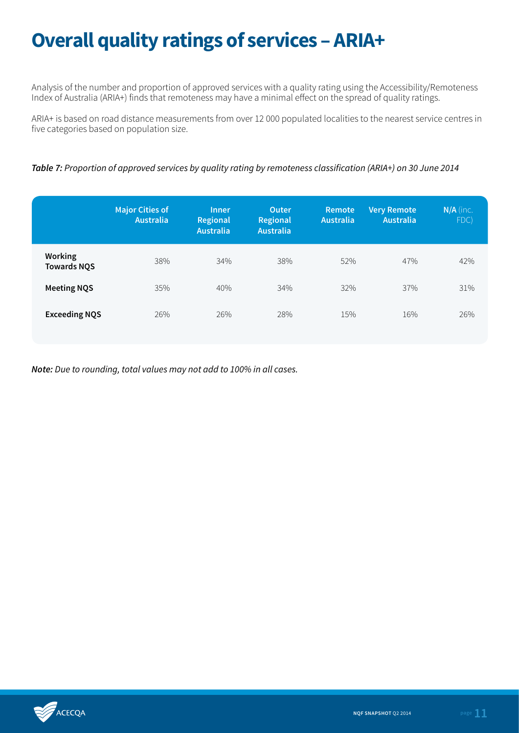# **Overall quality ratings of services – ARIA+**

Analysis of the number and proportion of approved services with a quality rating using the Accessibility/Remoteness Index of Australia (ARIA+) finds that remoteness may have a minimal effect on the spread of quality ratings.

ARIA+ is based on road distance measurements from over 12 000 populated localities to the nearest service centres in five categories based on population size.

*Table 7: Proportion of approved services by quality rating by remoteness classification (ARIA+) on 30 June 2014*

|                                      | <b>Major Cities of</b><br><b>Australia</b> | <b>Inner</b><br>Regional<br><b>Australia</b> | Outer.<br>Regional<br><b>Australia</b> | Remote<br>Australia | <b>Very Remote</b><br><b>Australia</b> | $N/A$ (inc.<br>FDC) |
|--------------------------------------|--------------------------------------------|----------------------------------------------|----------------------------------------|---------------------|----------------------------------------|---------------------|
| <b>Working</b><br><b>Towards NQS</b> | 38%                                        | 34%                                          | 38%                                    | 52%                 | 47%                                    | 42%                 |
| <b>Meeting NQS</b>                   | 35%                                        | 40%                                          | 34%                                    | 32%                 | 37%                                    | 31%                 |
| <b>Exceeding NQS</b>                 | 26%                                        | 26%                                          | 28%                                    | 15%                 | 16%                                    | 26%                 |

![](_page_10_Picture_6.jpeg)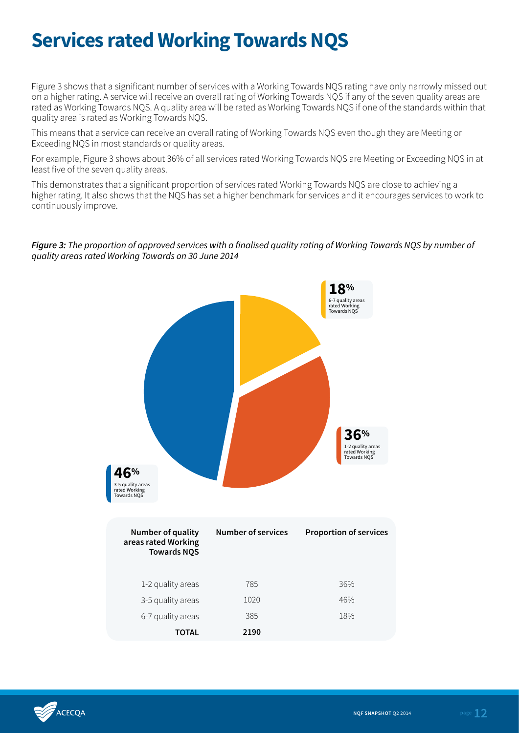### **Services rated Working Towards NQS**

Figure 3 shows that a significant number of services with a Working Towards NQS rating have only narrowly missed out on a higher rating. A service will receive an overall rating of Working Towards NQS if any of the seven quality areas are rated as Working Towards NQS. A quality area will be rated as Working Towards NQS if one of the standards within that quality area is rated as Working Towards NQS.

This means that a service can receive an overall rating of Working Towards NQS even though they are Meeting or Exceeding NQS in most standards or quality areas.

For example, Figure 3 shows about 36% of all services rated Working Towards NQS are Meeting or Exceeding NQS in at least five of the seven quality areas.

This demonstrates that a significant proportion of services rated Working Towards NQS are close to achieving a higher rating. It also shows that the NQS has set a higher benchmark for services and it encourages services to work to continuously improve.

#### *Figure 3: The proportion of approved services with a finalised quality rating of Working Towards NQS by number of quality areas rated Working Towards on 30 June 2014*

![](_page_11_Figure_6.jpeg)

![](_page_11_Picture_7.jpeg)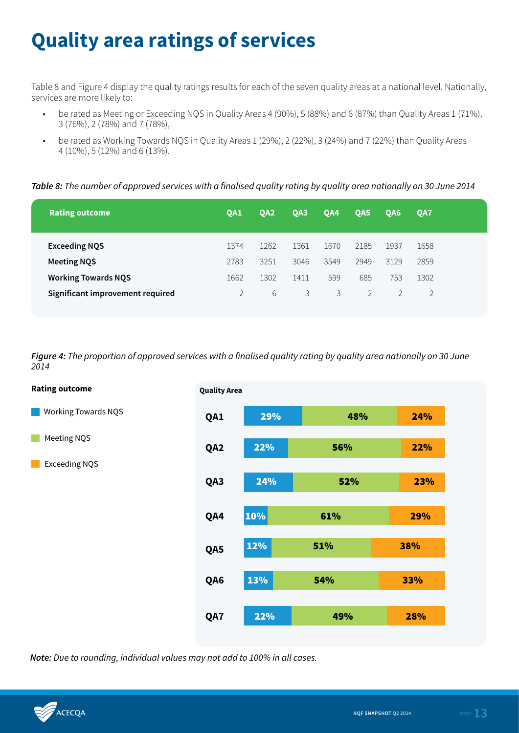# **Quality area ratings of services**

Table 8 and Figure 4 display the quality ratings results for each of the seven quality areas at a national level. Nationally, services are more likely to:

- be rated as Meeting or Exceeding NQS in Quality Areas 4 (90%), 5 (88%) and 6 (87%) than Quality Areas 1 (71%), 3 (76%), 2 (78%) and 7 (78%),
- be rated as Working Towards NQS in Quality Areas 1 (29%), 2 (22%), 3 (24%) and 7 (22%) than Quality Areas 4 (10%), 5 (12%) and 6 (13%).

*Table 8: The number of approved services with a finalised quality rating by quality area nationally on 30 June 2014*

| <b>Rating outcome</b>            | OA1  | OA <sub>2</sub> | QA3  | QA4  | OA <sub>5</sub> | OA6  | OA7  |  |
|----------------------------------|------|-----------------|------|------|-----------------|------|------|--|
| <b>Exceeding NQS</b>             | 1374 | 1262            | 1361 | 1670 | 2185            | 1937 | 1658 |  |
| <b>Meeting NQS</b>               | 2783 | 3251            | 3046 | 3549 | 2949            | 3129 | 2859 |  |
| <b>Working Towards NQS</b>       | 1662 | 1302            | 1411 | 599  | 685             | 753  | 1302 |  |
| Significant improvement required |      | 6               | 3    | 3    | 2               |      |      |  |
|                                  |      |                 |      |      |                 |      |      |  |

*Figure 4: The proportion of approved services with a finalised quality rating by quality area nationally on 30 June 2014*

![](_page_12_Figure_7.jpeg)

![](_page_12_Picture_9.jpeg)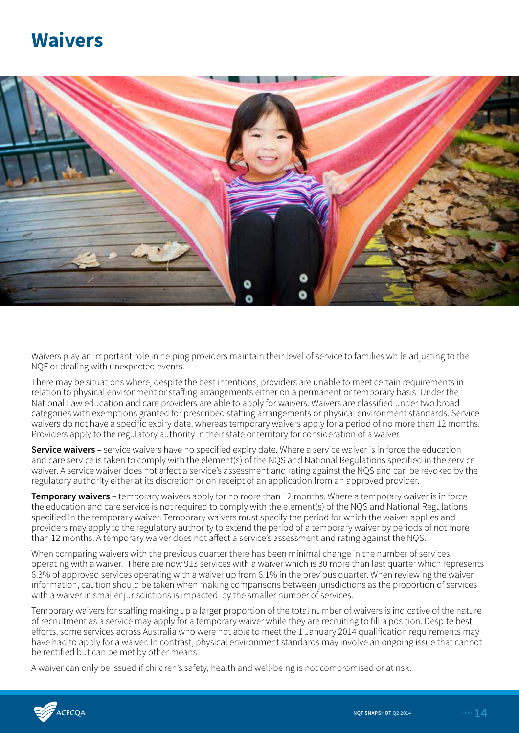### **Waivers**

![](_page_13_Picture_1.jpeg)

Waivers play an important role in helping providers maintain their level of service to families while adjusting to the NQF or dealing with unexpected events.

There may be situations where, despite the best intentions, providers are unable to meet certain requirements in relation to physical environment or staffing arrangements either on a permanent or temporary basis. Under the National Law education and care providers are able to apply for waivers. Waivers are classified under two broad categories with exemptions granted for prescribed staffing arrangements or physical environment standards. Service waivers do not have a specific expiry date, whereas temporary waivers apply for a period of no more than 12 months. Providers apply to the regulatory authority in their state or territory for consideration of a waiver.

**Service waivers –** service waivers have no specified expiry date. Where a service waiver is in force the education and care service is taken to comply with the element(s) of the NQS and National Regulations specified in the service waiver. A service waiver does not affect a service's assessment and rating against the NQS and can be revoked by the regulatory authority either at its discretion or on receipt of an application from an approved provider.

**Temporary waivers –** temporary waivers apply for no more than 12 months. Where a temporary waiver is in force the education and care service is not required to comply with the element(s) of the NQS and National Regulations specified in the temporary waiver. Temporary waivers must specify the period for which the waiver applies and providers may apply to the regulatory authority to extend the period of a temporary waiver by periods of not more than 12 months. A temporary waiver does not affect a service's assessment and rating against the NQS.

When comparing waivers with the previous quarter there has been minimal change in the number of services operating with a waiver. There are now 913 services with a waiver which is 30 more than last quarter which represents 6.3% of approved services operating with a waiver up from 6.1% in the previous quarter. When reviewing the waiver information, caution should be taken when making comparisons between jurisdictions as the proportion of services with a waiver in smaller jurisdictions is impacted by the smaller number of services.

Temporary waivers for staffing making up a larger proportion of the total number of waivers is indicative of the nature of recruitment as a service may apply for a temporary waiver while they are recruiting to fill a position. Despite best efforts, some services across Australia who were not able to meet the 1 January 2014 qualification requirements may have had to apply for a waiver. In contrast, physical environment standards may involve an ongoing issue that cannot be rectified but can be met by other means.

A waiver can only be issued if children's safety, health and well-being is not compromised or at risk.

![](_page_13_Picture_9.jpeg)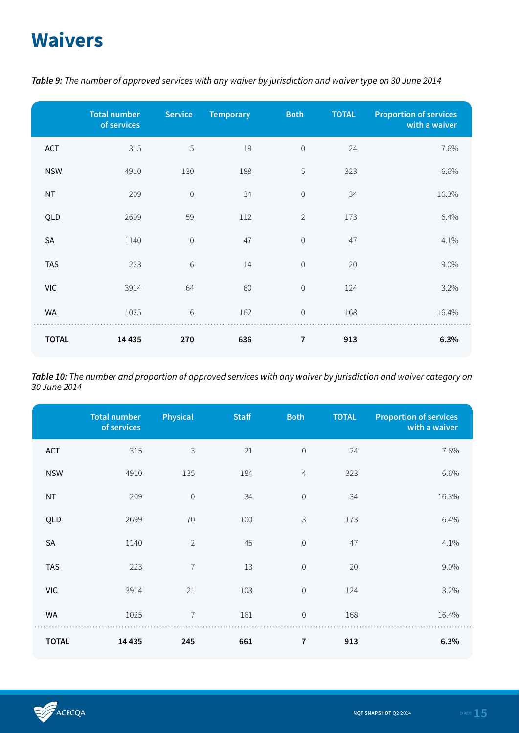# **Waivers**

|              | <b>Total number</b><br>of services | <b>Service</b> | <b>Temporary</b> | <b>Both</b>    | <b>TOTAL</b> | <b>Proportion of services</b><br>with a waiver |
|--------------|------------------------------------|----------------|------------------|----------------|--------------|------------------------------------------------|
| ACT          | 315                                | 5              | 19               | $\mathbf 0$    | 24           | 7.6%                                           |
| <b>NSW</b>   | 4910                               | 130            | 188              | 5              | 323          | 6.6%                                           |
| <b>NT</b>    | 209                                | $\mathbf 0$    | 34               | $\mathbf 0$    | 34           | 16.3%                                          |
| QLD          | 2699                               | 59             | 112              | $\overline{2}$ | 173          | 6.4%                                           |
| SA           | 1140                               | $\mathbf 0$    | 47               | $\mathbf 0$    | 47           | 4.1%                                           |
| <b>TAS</b>   | 223                                | $6\,$          | 14               | $\mathbf 0$    | 20           | 9.0%                                           |
| <b>VIC</b>   | 3914                               | 64             | 60               | $\mathbf 0$    | 124          | 3.2%                                           |
| <b>WA</b>    | 1025                               | $6\,$          | 162              | $\mathbf 0$    | 168          | 16.4%                                          |
| <b>TOTAL</b> | 14 4 35                            | 270            | 636              | 7              | 913          | 6.3%                                           |

*Table 9: The number of approved services with any waiver by jurisdiction and waiver type on 30 June 2014*

*Table 10: The number and proportion of approved services with any waiver by jurisdiction and waiver category on 30 June 2014*

|              | <b>Total number</b><br>of services | <b>Physical</b> | <b>Staff</b> | <b>Both</b>         | <b>TOTAL</b> | <b>Proportion of services</b><br>with a waiver |
|--------------|------------------------------------|-----------------|--------------|---------------------|--------------|------------------------------------------------|
| ACT          | 315                                | $\mathsf 3$     | 21           | $\,0\,$             | 24           | 7.6%                                           |
| <b>NSW</b>   | 4910                               | 135             | 184          | $\overline{4}$      | 323          | 6.6%                                           |
| <b>NT</b>    | 209                                | $\mathbf 0$     | 34           | $\mathsf{O}\xspace$ | 34           | 16.3%                                          |
| QLD          | 2699                               | 70              | 100          | 3                   | 173          | 6.4%                                           |
| <b>SA</b>    | 1140                               | $\overline{2}$  | 45           | $\mathbf 0$         | 47           | 4.1%                                           |
| <b>TAS</b>   | 223                                | $\overline{1}$  | 13           | $\mathsf{O}\xspace$ | 20           | 9.0%                                           |
| <b>VIC</b>   | 3914                               | 21              | 103          | $\mathbf 0$         | 124          | 3.2%                                           |
| <b>WA</b>    | 1025                               | $\overline{7}$  | 161          | $\mathsf{O}\xspace$ | 168          | 16.4%                                          |
| <b>TOTAL</b> | 14 4 35                            | 245             | 661          | 7                   | 913          | 6.3%                                           |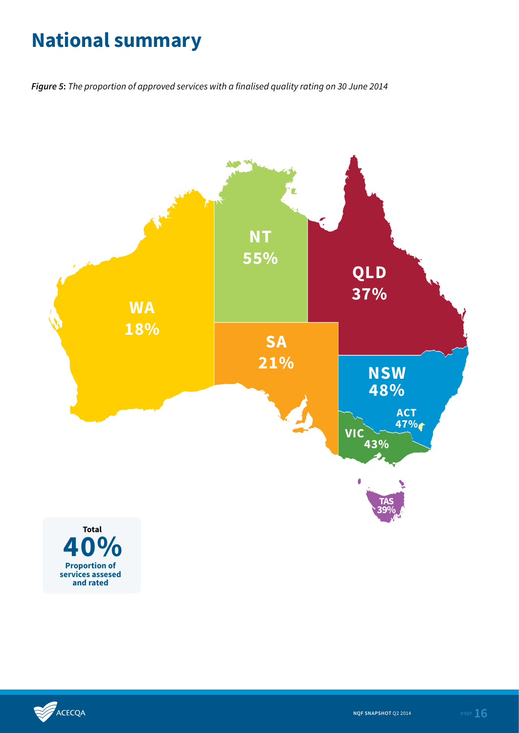# **National summary**

*Figure 5***:** *The proportion of approved services with a finalised quality rating on 30 June 2014*

![](_page_15_Figure_2.jpeg)

![](_page_15_Picture_3.jpeg)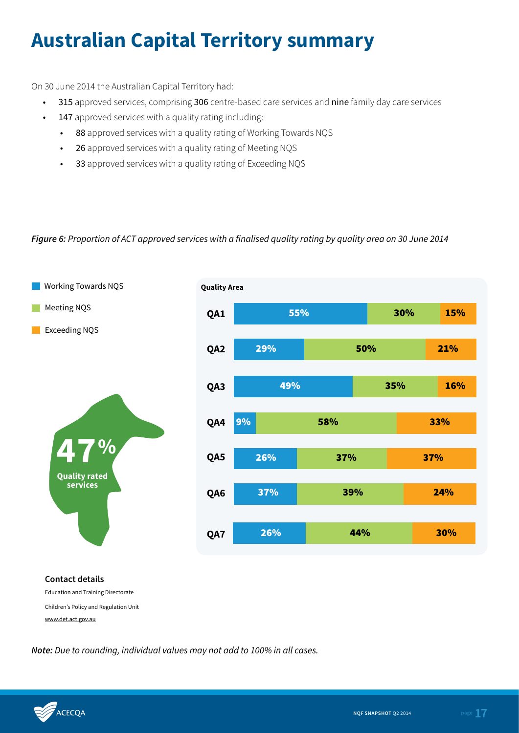# **Australian Capital Territory summary**

On 30 June 2014 the Australian Capital Territory had:

- 315 approved services, comprising 306 centre-based care services and nine family day care services
- 147 approved services with a quality rating including:
	- 88 approved services with a quality rating of Working Towards NQS
	- 26 approved services with a quality rating of Meeting NQS
	- 33 approved services with a quality rating of Exceeding NQS

### *Figure 6: Proportion of ACT approved services with a finalised quality rating by quality area on 30 June 2014*

![](_page_16_Figure_8.jpeg)

Children's Policy and Regulation Unit www.det.act.gov.au

![](_page_16_Picture_11.jpeg)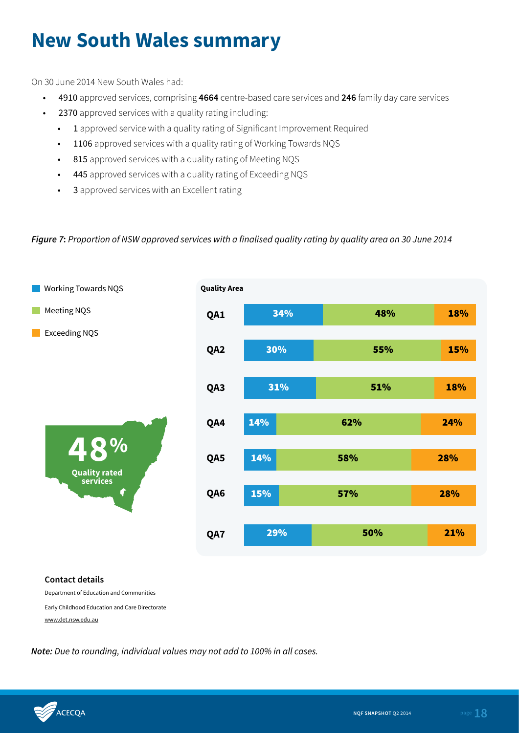### **New South Wales summary**

On 30 June 2014 New South Wales had:

- 4910 approved services, comprising **4664** centre-based care services and **246** family day care services
- 2370 approved services with a quality rating including:
	- 1 approved service with a quality rating of Significant Improvement Required
	- 1106 approved services with a quality rating of Working Towards NQS
	- 815 approved services with a quality rating of Meeting NQS
	- 445 approved services with a quality rating of Exceeding NQS
	- 3 approved services with an Excellent rating

### *Figure 7***:** *Proportion of NSW approved services with a finalised quality rating by quality area on 30 June 2014*

![](_page_17_Figure_10.jpeg)

#### **Contact details**

Department of Education and Communities

Early Childhood Education and Care Directorate

www.det.nsw.edu.au

![](_page_17_Picture_16.jpeg)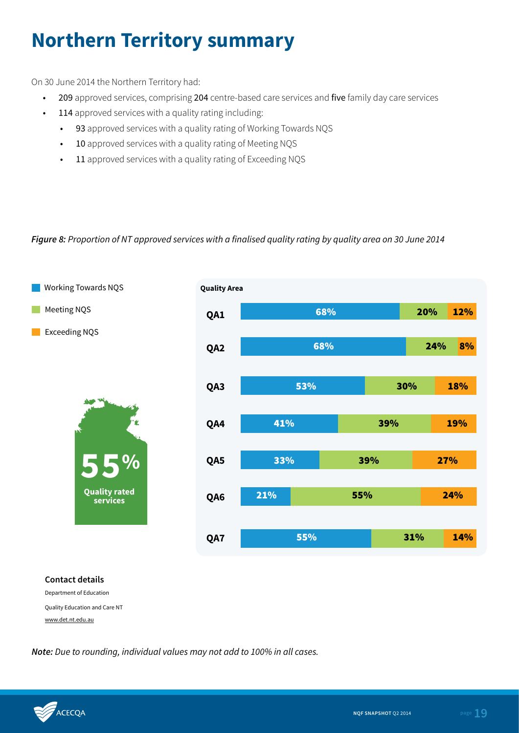## **Northern Territory summary**

On 30 June 2014 the Northern Territory had:

- 209 approved services, comprising 204 centre-based care services and five family day care services
- 114 approved services with a quality rating including:
	- 93 approved services with a quality rating of Working Towards NQS
	- 10 approved services with a quality rating of Meeting NQS
	- 11 approved services with a quality rating of Exceeding NQS

### *Figure 8: Proportion of NT approved services with a finalised quality rating by quality area on 30 June 2014*

![](_page_18_Figure_8.jpeg)

### **Contact details**

Department of Education Quality Education and Care NT www.det.nt.edu.au

![](_page_18_Picture_12.jpeg)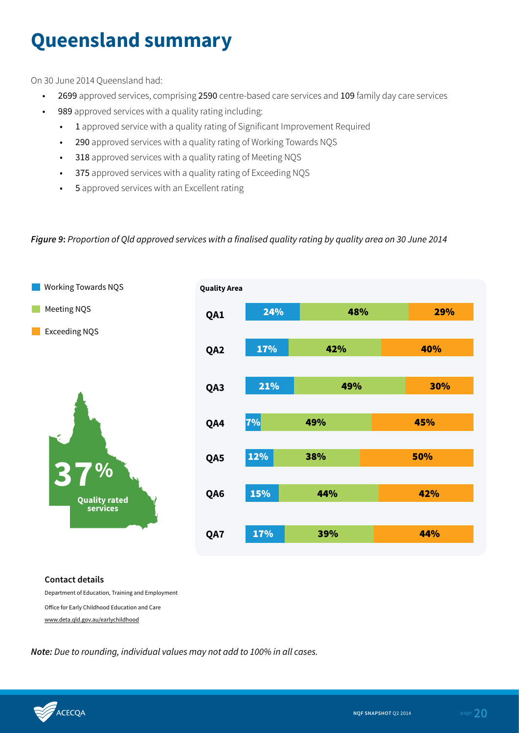# **Queensland summary**

On 30 June 2014 Queensland had:

- 2699 approved services, comprising 2590 centre-based care services and 109 family day care services
- 989 approved services with a quality rating including:
	- 1 approved service with a quality rating of Significant Improvement Required
	- 290 approved services with a quality rating of Working Towards NQS
	- 318 approved services with a quality rating of Meeting NQS
	- 375 approved services with a quality rating of Exceeding NQS
	- 5 approved services with an Excellent rating

### *Figure 9***:** *Proportion of Qld approved services with a finalised quality rating by quality area on 30 June 2014*

![](_page_19_Figure_10.jpeg)

#### **Contact details**

Department of Education, Training and Employment Office for Early Childhood Education and Care www.deta.qld.gov.au/earlychildhood

![](_page_19_Picture_14.jpeg)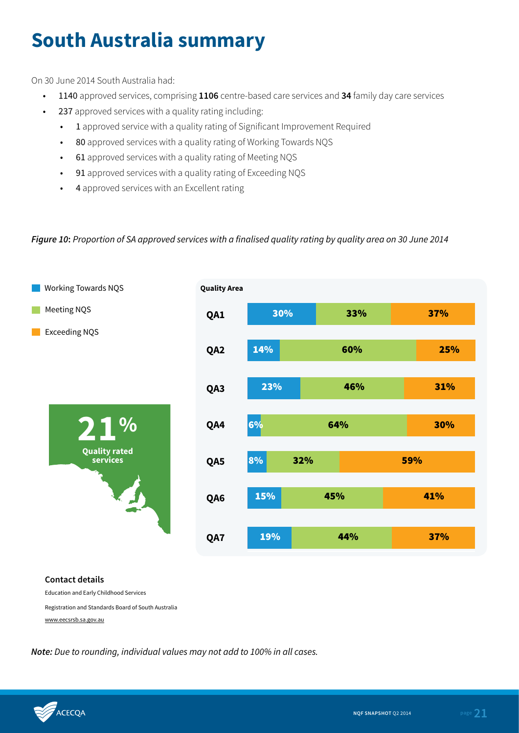# **South Australia summary**

On 30 June 2014 South Australia had:

- 1140 approved services, comprising **1106** centre-based care services and **34** family day care services
- 237 approved services with a quality rating including:
	- 1 approved service with a quality rating of Significant Improvement Required
	- 80 approved services with a quality rating of Working Towards NQS
	- 61 approved services with a quality rating of Meeting NQS
	- 91 approved services with a quality rating of Exceeding NQS
	- 4 approved services with an Excellent rating

#### *Figure 10***:** *Proportion of SA approved services with a finalised quality rating by quality area on 30 June 2014*

![](_page_20_Figure_10.jpeg)

**Contact details**

Education and Early Childhood Services

Registration and Standards Board of South Australia

www.eecsrsb.sa.gov.au

![](_page_20_Picture_16.jpeg)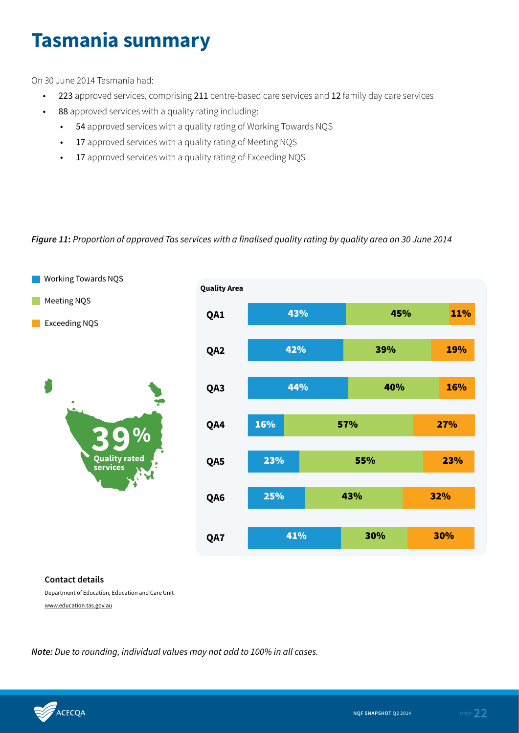### **Tasmania summary**

On 30 June 2014 Tasmania had:

- 223 approved services, comprising 211 centre-based care services and 12 family day care services
- 88 approved services with a quality rating including:
	- 54 approved services with a quality rating of Working Towards NQS
	- 17 approved services with a quality rating of Meeting NQS
	- 17 approved services with a quality rating of Exceeding NQS

### *Figure 11***:** *Proportion of approved Tas services with a finalised quality rating by quality area on 30 June 2014*

![](_page_21_Figure_8.jpeg)

#### **Contact details**

Department of Education, Education and Care Unit www.education.tas.gov.au

![](_page_21_Picture_12.jpeg)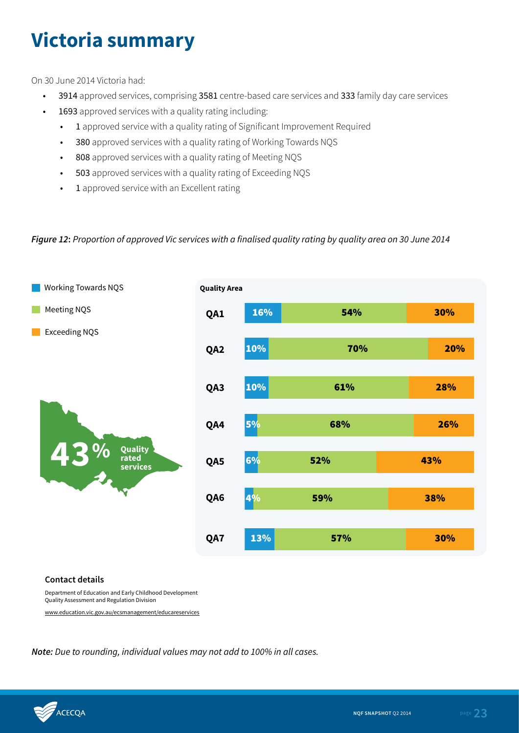# **Victoria summary**

On 30 June 2014 Victoria had:

- 3914 approved services, comprising 3581 centre-based care services and 333 family day care services
- 1693 approved services with a quality rating including:
	- 1 approved service with a quality rating of Significant Improvement Required
	- 380 approved services with a quality rating of Working Towards NQS
	- 808 approved services with a quality rating of Meeting NQS
	- 503 approved services with a quality rating of Exceeding NQS
	- 1 approved service with an Excellent rating

#### *Figure 12***:** *Proportion of approved Vic services with a finalised quality rating by quality area on 30 June 2014*

![](_page_22_Figure_10.jpeg)

#### **Contact details**

Department of Education and Early Childhood Development Quality Assessment and Regulation Division

www.education.vic.gov.au/ecsmanagement/educareservices

![](_page_22_Picture_15.jpeg)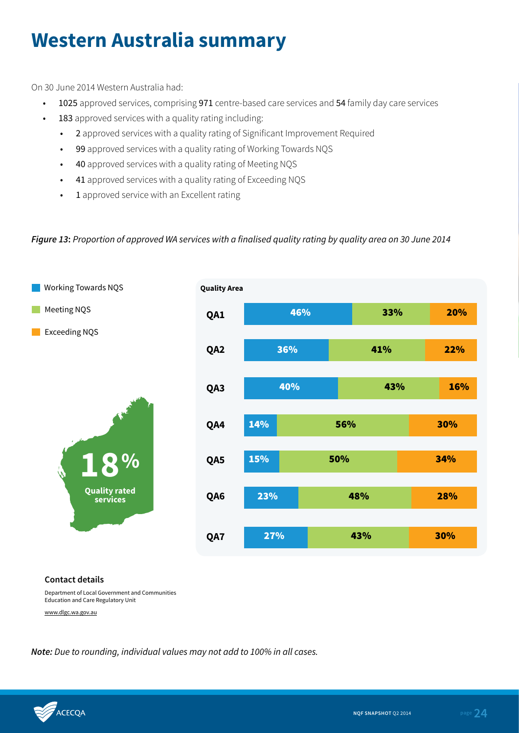## **Western Australia summary**

On 30 June 2014 Western Australia had:

- 1025 approved services, comprising 971 centre-based care services and 54 family day care services
- 183 approved services with a quality rating including:
	- 2 approved services with a quality rating of Significant Improvement Required
	- 99 approved services with a quality rating of Working Towards NQS
	- 40 approved services with a quality rating of Meeting NQS
	- 41 approved services with a quality rating of Exceeding NQS
	- 1 approved service with an Excellent rating

### *Figure 13***:** *Proportion of approved WA services with a finalised quality rating by quality area on 30 June 2014*

![](_page_23_Figure_10.jpeg)

#### **Contact details**

Department of Local Government and Communities Education and Care Regulatory Unit

www.dlgc.wa.gov.au

![](_page_23_Picture_15.jpeg)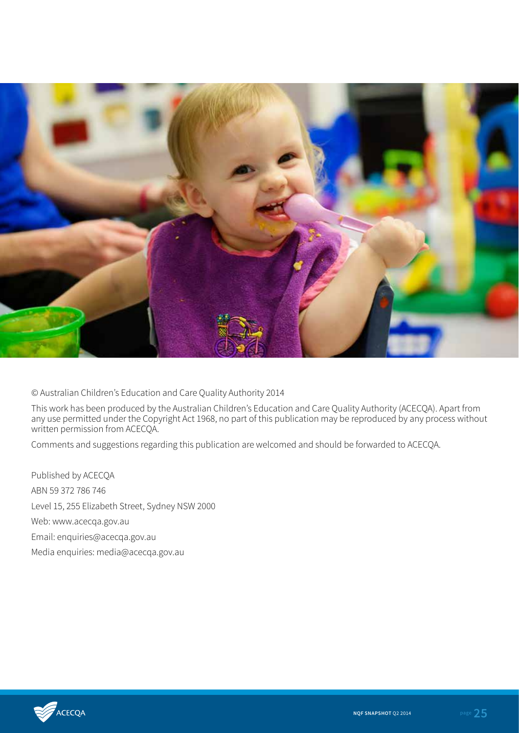![](_page_24_Picture_0.jpeg)

© Australian Children's Education and Care Quality Authority 2014

This work has been produced by the Australian Children's Education and Care Quality Authority (ACECQA). Apart from any use permitted under the Copyright Act 1968, no part of this publication may be reproduced by any process without written permission from ACECQA.

Comments and suggestions regarding this publication are welcomed and should be forwarded to ACECQA.

Published by ACECQA ABN 59 372 786 746 Level 15, 255 Elizabeth Street, Sydney NSW 2000 Web: www.acecqa.gov.au Email: enquiries@acecqa.gov.au Media enquiries: media@acecqa.gov.au

![](_page_24_Picture_5.jpeg)